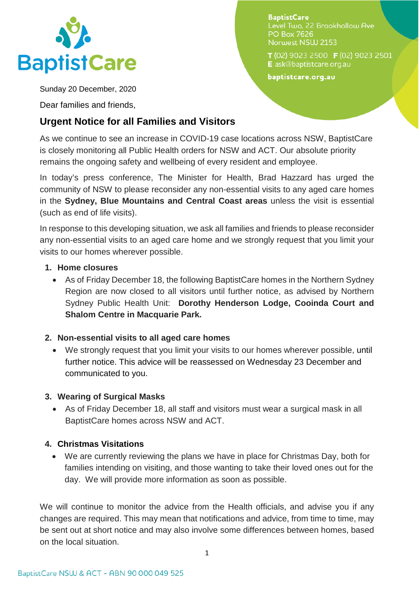

**BaptistCare** Level Two. 22 Brookhollow Ave **PO Box 7626** Norwest NSW 2153

T(02) 9023 2500 F(02) 9023 2501 E ask@baptistcare.org.au

baptistcare.org.au

Sunday 20 December, 2020

Dear families and friends,

# **Urgent Notice for all Families and Visitors**

As we continue to see an increase in COVID-19 case locations across NSW, BaptistCare is closely monitoring all Public Health orders for NSW and ACT. Our absolute priority remains the ongoing safety and wellbeing of every resident and employee.

In today's press conference, The Minister for Health, Brad Hazzard has urged the community of NSW to please reconsider any non-essential visits to any aged care homes in the **Sydney, Blue Mountains and Central Coast areas** unless the visit is essential (such as end of life visits).

In response to this developing situation, we ask all families and friends to please reconsider any non-essential visits to an aged care home and we strongly request that you limit your visits to our homes wherever possible.

#### **1. Home closures**

• As of Friday December 18, the following BaptistCare homes in the Northern Sydney Region are now closed to all visitors until further notice, as advised by Northern Sydney Public Health Unit: **Dorothy Henderson Lodge, Cooinda Court and Shalom Centre in Macquarie Park.**

## **2. Non-essential visits to all aged care homes**

• We strongly request that you limit your visits to our homes wherever possible, until further notice. This advice will be reassessed on Wednesday 23 December and communicated to you.

## **3. Wearing of Surgical Masks**

• As of Friday December 18, all staff and visitors must wear a surgical mask in all BaptistCare homes across NSW and ACT.

## **4. Christmas Visitations**

• We are currently reviewing the plans we have in place for Christmas Day, both for families intending on visiting, and those wanting to take their loved ones out for the day. We will provide more information as soon as possible.

We will continue to monitor the advice from the Health officials, and advise you if any changes are required. This may mean that notifications and advice, from time to time, may be sent out at short notice and may also involve some differences between homes, based on the local situation.